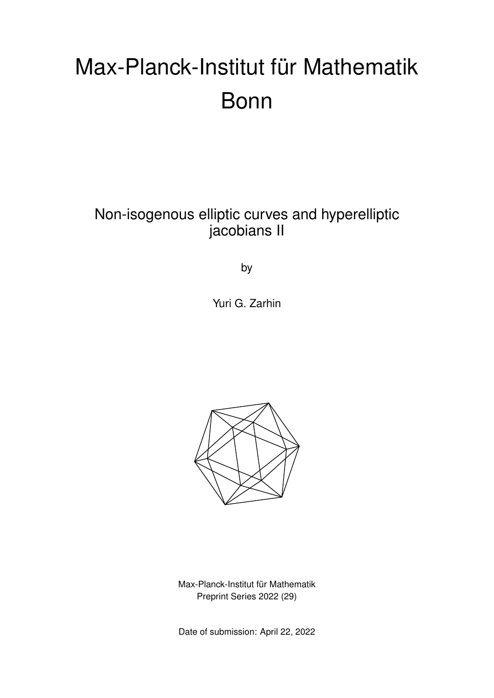# Max-Planck-Institut für Mathematik Bonn

### Non-isogenous elliptic curves and hyperelliptic jacobians II

by

Yuri G. Zarhin



Max-Planck-Institut für Mathematik Preprint Series 2022 (29)

Date of submission: April 22, 2022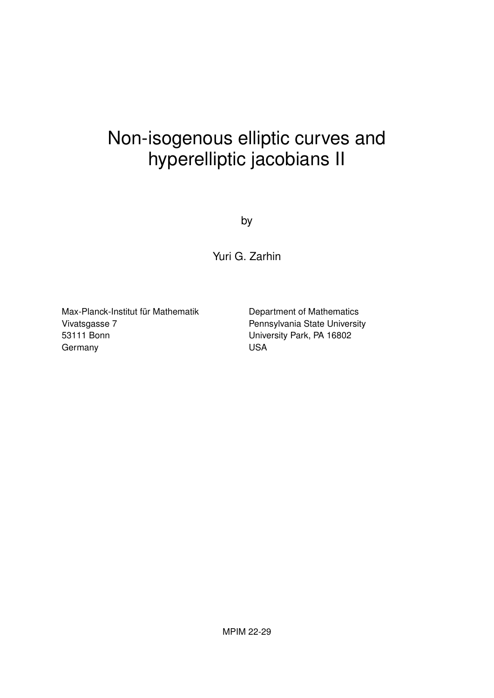## Non-isogenous elliptic curves and hyperelliptic jacobians II

by

Yuri G. Zarhin

Max-Planck-Institut für Mathematik Vivatsgasse 7 53111 Bonn Germany

Department of Mathematics Pennsylvania State University University Park, PA 16802 USA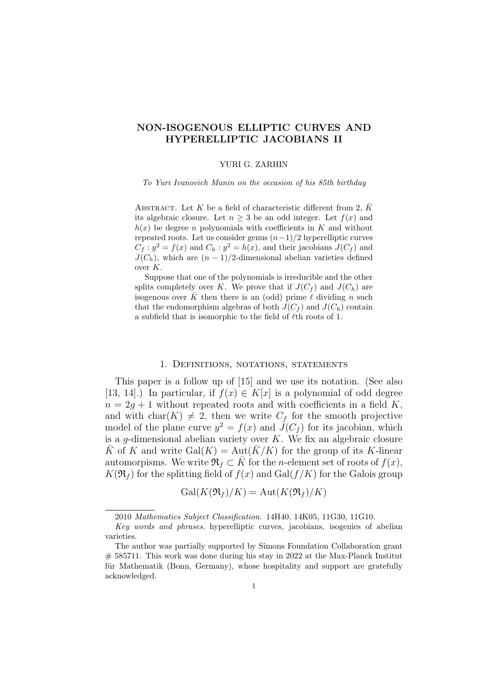#### NON-ISOGENOUS ELLIPTIC CURVES AND HYPERELLIPTIC JACOBIANS II

#### YURI G. ZARHIN

To Yuri Ivanovich Manin on the occasion of his 85th birthday

ABSTRACT. Let K be a field of characteristic different from 2,  $\bar{K}$ its algebraic closure. Let  $n \geq 3$  be an odd integer. Let  $f(x)$  and  $h(x)$  be degree n polynomials with coefficients in K and without repeated roots. Let us consider genus  $(n-1)/2$  hyperelliptic curves  $C_f: y^2 = f(x)$  and  $C_h: y^2 = h(x)$ , and their jacobians  $J(C_f)$  and  $J(C_h)$ , which are  $(n-1)/2$ -dimensional abelian varieties defined over K.

Suppose that one of the polynomials is irreducible and the other splits completely over K. We prove that if  $J(C_f)$  and  $J(C_h)$  are isogenous over  $\overline{K}$  then there is an (odd) prime  $\ell$  dividing n such that the endomorphism algebras of both  $J(C_f)$  and  $J(C_h)$  contain a subfield that is isomorphic to the field of  $\ell$ th roots of 1.

#### 1. Definitions, notations, statements

This paper is a follow up of [15] and we use its notation. (See also [13, 14].) In particular, if  $f(x) \in K[x]$  is a polynomial of odd degree  $n = 2q + 1$  without repeated roots and with coefficients in a field K. and with char(K)  $\neq$  2, then we write  $C_f$  for the smooth projective model of the plane curve  $y^2 = f(x)$  and  $J(C_f)$  for its jacobian, which is a g-dimensional abelian variety over  $K$ . We fix an algebraic closure K of K and write Gal(K) = Aut(K/K) for the group of its K-linear automorpisms. We write  $\mathfrak{R}_f \subset K$  for the *n*-element set of roots of  $f(x)$ ,  $K(\mathfrak{R}_f)$  for the splitting field of  $f(x)$  and Gal( $f/K$ ) for the Galois group

 $Gal(K(\mathfrak{R}_f)/K) = Aut(K(\mathfrak{R}_f)/K)$ 

<sup>2010</sup> Mathematics Subject Classification. 14H40, 14K05, 11G30, 11G10.

Key words and phrases. hyperelliptic curves, jacobians, isogenies of abelian varieties.

The author was partially supported by Simons Foundation Collaboration grant # 585711. This work was done during his stay in 2022 at the Max-Planck Institut für Mathematik (Bonn, Germany), whose hospitality and support are gratefully acknowledged.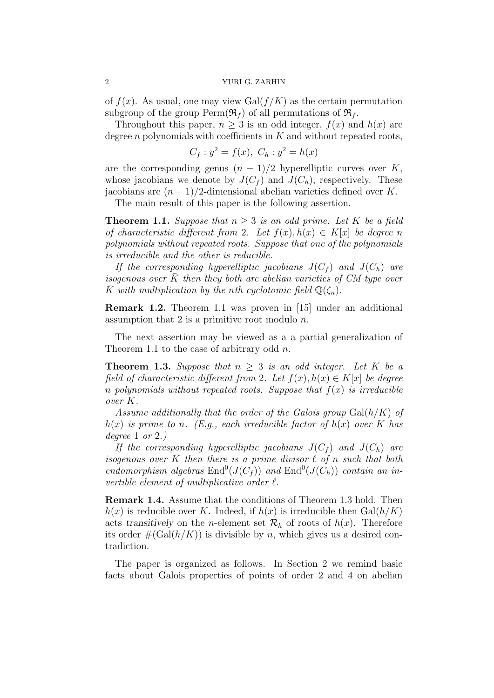of  $f(x)$ . As usual, one may view Gal $(f/K)$  as the certain permutation subgroup of the group  $\text{Perm}(\mathfrak{R}_f)$  of all permutations of  $\mathfrak{R}_f$ .

Throughout this paper,  $n > 3$  is an odd integer,  $f(x)$  and  $h(x)$  are degree  $n$  polynomials with coefficients in  $K$  and without repeated roots,

$$
C_f : y^2 = f(x), \ C_h : y^2 = h(x)
$$

are the corresponding genus  $(n - 1)/2$  hyperelliptic curves over K, whose jacobians we denote by  $J(C_f)$  and  $J(C_h)$ , respectively. These jacobians are  $(n-1)/2$ -dimensional abelian varieties defined over K.

The main result of this paper is the following assertion.

**Theorem 1.1.** Suppose that  $n \geq 3$  is an odd prime. Let K be a field of characteristic different from 2. Let  $f(x)$ ,  $h(x) \in K[x]$  be degree n polynomials without repeated roots. Suppose that one of the polynomials is irreducible and the other is reducible.

If the corresponding hyperelliptic jacobians  $J(C_f)$  and  $J(C_h)$  are isogenous over  $\bar{K}$  then they both are abelian varieties of CM type over K with multiplication by the nth cyclotomic field  $\mathbb{Q}(\zeta_n)$ .

Remark 1.2. Theorem 1.1 was proven in [15] under an additional assumption that 2 is a primitive root modulo  $n$ .

The next assertion may be viewed as a a partial generalization of Theorem 1.1 to the case of arbitrary odd n.

**Theorem 1.3.** Suppose that  $n \geq 3$  is an odd integer. Let K be a field of characteristic different from 2. Let  $f(x)$ ,  $h(x) \in K[x]$  be degree n polynomials without repeated roots. Suppose that  $f(x)$  is irreducible over K.

Assume additionally that the order of the Galois group  $Gal(h/K)$  of  $h(x)$  is prime to n. (E.g., each irreducible factor of  $h(x)$  over K has degree 1 or 2.)

If the corresponding hyperelliptic jacobians  $J(C_f)$  and  $J(C_h)$  are isogenous over  $\bar{K}$  then there is a prime divisor  $\ell$  of n such that both endomorphism algebras  $\text{End}^0(J(C_f))$  and  $\text{End}^0(J(C_h))$  contain an invertible element of multiplicative order  $\ell$ .

Remark 1.4. Assume that the conditions of Theorem 1.3 hold. Then  $h(x)$  is reducible over K. Indeed, if  $h(x)$  is irreducible then  $Gal(h/K)$ acts transitively on the *n*-element set  $\mathcal{R}_h$  of roots of  $h(x)$ . Therefore its order  $\#(\text{Gal}(h/K))$  is divisible by n, which gives us a desired contradiction.

The paper is organized as follows. In Section 2 we remind basic facts about Galois properties of points of order 2 and 4 on abelian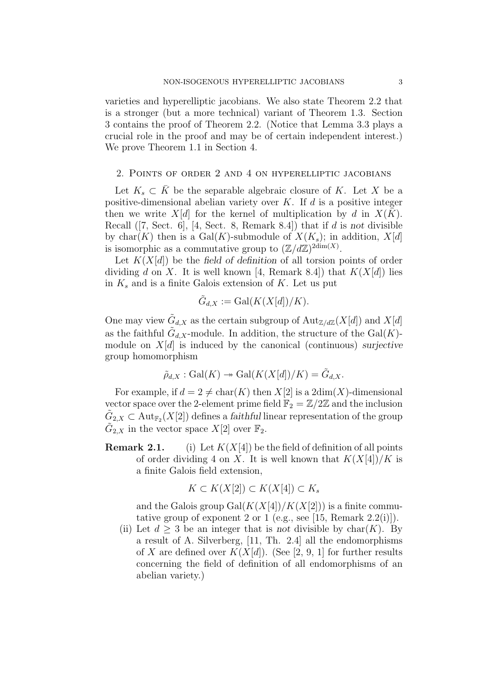varieties and hyperelliptic jacobians. We also state Theorem 2.2 that is a stronger (but a more technical) variant of Theorem 1.3. Section 3 contains the proof of Theorem 2.2. (Notice that Lemma 3.3 plays a crucial role in the proof and may be of certain independent interest.) We prove Theorem 1.1 in Section 4.

#### 2. Points of order 2 and 4 on hyperelliptic jacobians

Let  $K_s \subset \overline{K}$  be the separable algebraic closure of K. Let X be a positive-dimensional abelian variety over  $K$ . If  $d$  is a positive integer then we write  $X[d]$  for the kernel of multiplication by d in  $X(K)$ . Recall  $(7, Sect. 6], [4, Sect. 8, Remark 8.4])$  that if d is not divisible by char(K) then is a  $Gal(K)$ -submodule of  $X(K_s)$ ; in addition,  $X[d]$ is isomorphic as a commutative group to  $(\mathbb{Z}/d\mathbb{Z})^{2dim(X)}$ .

Let  $K(X[d])$  be the field of definition of all torsion points of order dividing d on X. It is well known [4, Remark 8.4]) that  $K(X[d])$  lies in  $K_s$  and is a finite Galois extension of K. Let us put

$$
\tilde{G}_{d,X} := \text{Gal}(K(X[d])/K).
$$

One may view  $\tilde{G}_{d,X}$  as the certain subgroup of  $\text{Aut}_{\mathbb{Z}/d\mathbb{Z}}(X[d])$  and  $X[d]$ as the faithful  $\tilde{G}_{d,X}$ -module. In addition, the structure of the  $Gal(K)$ module on  $X[d]$  is induced by the canonical (continuous) surjective group homomorphism

$$
\tilde{\rho}_{d,X}: \mathrm{Gal}(K) \twoheadrightarrow \mathrm{Gal}(K(X[d])/K) = \tilde{G}_{d,X}.
$$

For example, if  $d = 2 \neq \text{char}(K)$  then  $X[2]$  is a  $2\text{dim}(X)$ -dimensional vector space over the 2-element prime field  $\mathbb{F}_2 = \mathbb{Z}/2\mathbb{Z}$  and the inclusion  $\tilde{G}_{2,X}\subset \text{Aut}_{\mathbb{F}_2}(X[2])$  defines a *faithful* linear representation of the group  $\tilde{G}_{2,X}$  in the vector space  $X[2]$  over  $\mathbb{F}_2$ .

**Remark 2.1.** (i) Let  $K(X[4])$  be the field of definition of all points of order dividing 4 on X. It is well known that  $K(X[4])/K$  is a finite Galois field extension,

$$
K \subset K(X[2]) \subset K(X[4]) \subset K_s
$$

and the Galois group  $Gal(K(X[4])/K(X[2]))$  is a finite commutative group of exponent 2 or 1 (e.g., see [15, Remark 2.2(i)]).

(ii) Let  $d \geq 3$  be an integer that is not divisible by char(K). By a result of A. Silverberg, [11, Th. 2.4] all the endomorphisms of X are defined over  $K(X[d])$ . (See [2, 9, 1] for further results concerning the field of definition of all endomorphisms of an abelian variety.)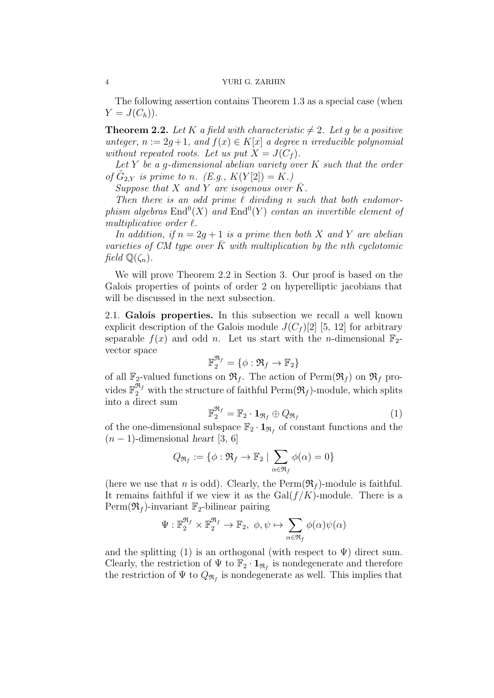The following assertion contains Theorem 1.3 as a special case (when  $Y=J(C_h)$ .

**Theorem 2.2.** Let K a field with characteristic  $\neq 2$ . Let q be a positive unteger,  $n := 2q+1$ , and  $f(x) \in K[x]$  a degree n irreducible polynomial without repeated roots. Let us put  $X = J(C_f)$ .

Let Y be a g-dimensional abelian variety over  $K$  such that the order of  $\tilde{G}_{2,Y}$  is prime to n. (E.g.,  $K(Y[2]) = K$ .)

Suppose that X and Y are isogenous over  $\bar{K}$ .

Then there is an odd prime  $\ell$  dividing n such that both endomorphism algebras  $\text{End}^0(X)$  and  $\text{End}^0(Y)$  contan an invertible element of multiplicative order  $\ell$ .

In addition, if  $n = 2g + 1$  is a prime then both X and Y are abelian varieties of CM type over  $\overline{K}$  with multiplication by the nth cyclotomic field  $\mathbb{Q}(\zeta_n)$ .

We will prove Theorem 2.2 in Section 3. Our proof is based on the Galois properties of points of order 2 on hyperelliptic jacobians that will be discussed in the next subsection.

2.1. Galois properties. In this subsection we recall a well known explicit description of the Galois module  $J(C_f)[2]$  [5, 12] for arbitrary separable  $f(x)$  and odd n. Let us start with the n-dimensional  $\mathbb{F}_2$ vector space

$$
\mathbb{F}_2^{\mathfrak{R}_f} = \{\phi: \mathfrak{R}_f \rightarrow \mathbb{F}_2\}
$$

of all  $\mathbb{F}_2$ -valued functions on  $\mathfrak{R}_f$ . The action of Perm $(\mathfrak{R}_f)$  on  $\mathfrak{R}_f$  provides  $\mathbb{F}_2^{\mathfrak{R}_f}$  with the structure of faithful Perm $(\mathfrak{R}_f)$ -module, which splits into a direct sum

$$
\mathbb{F}_2^{\mathfrak{R}_f} = \mathbb{F}_2 \cdot \mathbf{1}_{\mathfrak{R}_f} \oplus Q_{\mathfrak{R}_f} \tag{1}
$$

of the one-dimensional subspace  $\mathbb{F}_2 \cdot \mathbf{1}_{\Re_f}$  of constant functions and the  $(n-1)$ -dimensional heart [3, 6]

$$
Q_{\mathfrak{R}_f} := \{ \phi : \mathfrak{R}_f \to \mathbb{F}_2 \mid \sum_{\alpha \in \mathfrak{R}_f} \phi(\alpha) = 0 \}
$$

(here we use that n is odd). Clearly, the  $\text{Perm}(\mathfrak{R}_f)$ -module is faithful. It remains faithful if we view it as the  $Gal(f/K)$ -module. There is a  $\text{Perm}(\mathfrak{R}_f)$ -invariant  $\mathbb{F}_2$ -bilinear pairing

$$
\Psi: \mathbb{F}_2^{\mathfrak{R}_f} \times \mathbb{F}_2^{\mathfrak{R}_f} \to \mathbb{F}_2, \ \phi, \psi \mapsto \sum_{\alpha \in \mathfrak{R}_f} \phi(\alpha) \psi(\alpha)
$$

and the splitting (1) is an orthogonal (with respect to  $\Psi$ ) direct sum. Clearly, the restriction of  $\Psi$  to  $\mathbb{F}_2 \cdot \mathbf{1}_{\Re_f}$  is nondegenerate and therefore the restriction of  $\Psi$  to  $Q_{\mathfrak{R}_f}$  is nondegenerate as well. This implies that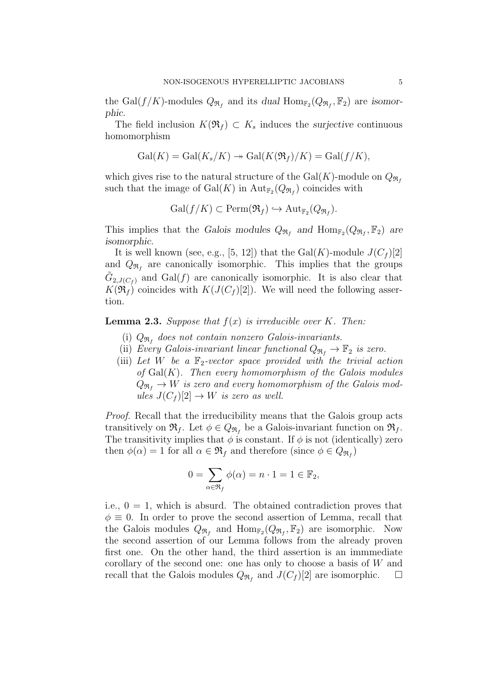the Gal $(f/K)$ -modules  $Q_{\mathfrak{R}_f}$  and its dual  $\text{Hom}_{\mathbb{F}_2}(Q_{\mathfrak{R}_f}, \mathbb{F}_2)$  are isomorphic.

The field inclusion  $K(\mathfrak{R}_f) \subset K_s$  induces the surjective continuous homomorphism

$$
Gal(K) = Gal(K_s/K) \rightarrow Gal(K(\mathfrak{R}_f)/K) = Gal(f/K),
$$

which gives rise to the natural structure of the Gal(K)-module on  $Q_{\Re_t}$ such that the image of  $Gal(K)$  in  $Aut_{\mathbb{F}_2}(Q_{\mathfrak{R}_f})$  coincides with

$$
\mathrm{Gal}(f/K)\subset \mathrm{Perm}(\mathfrak{R}_f)\hookrightarrow \mathrm{Aut}_{\mathbb{F}_2}(Q_{\mathfrak{R}_f}).
$$

This implies that the Galois modules  $Q_{\Re_f}$  and  $\text{Hom}_{\mathbb{F}_2}(Q_{\Re_f}, \mathbb{F}_2)$  are isomorphic.

It is well known (see, e.g., [5, 12]) that the  $Gal(K)$ -module  $J(C_f)[2]$ and  $Q_{\mathfrak{R}_f}$  are canonically isomorphic. This implies that the groups  $\tilde{G}_{2,J(C_f)}$  and  $Gal(f)$  are canonically isomorphic. It is also clear that  $K(\mathfrak{R}_f)$  coincides with  $K(J(C_f)[2])$ . We will need the following assertion.

**Lemma 2.3.** Suppose that  $f(x)$  is irreducible over K. Then:

- (i)  $Q_{\Re_f}$  does not contain nonzero Galois-invariants.
- (ii) Every Galois-invariant linear functional  $Q_{\mathfrak{R}_f} \to \mathbb{F}_2$  is zero.
- (iii) Let W be a  $\mathbb{F}_2$ -vector space provided with the trivial action of  $Gal(K)$ . Then every homomorphism of the Galois modules  $Q_{\Re_t} \to W$  is zero and every homomorphism of the Galois modules  $J(C_f)[2] \to W$  is zero as well.

Proof. Recall that the irreducibility means that the Galois group acts transitively on  $\mathfrak{R}_f$ . Let  $\phi \in Q_{\mathfrak{R}_f}$  be a Galois-invariant function on  $\mathfrak{R}_f$ . The transitivity implies that  $\phi$  is constant. If  $\phi$  is not (identically) zero then  $\phi(\alpha) = 1$  for all  $\alpha \in \mathfrak{R}_f$  and therefore (since  $\phi \in Q_{\mathfrak{R}_f}$ )

$$
0 = \sum_{\alpha \in \mathfrak{R}_f} \phi(\alpha) = n \cdot 1 = 1 \in \mathbb{F}_2,
$$

i.e.,  $0 = 1$ , which is absurd. The obtained contradiction proves that  $\phi \equiv 0$ . In order to prove the second assertion of Lemma, recall that the Galois modules  $Q_{\Re f}$  and  $\text{Hom}_{\mathbb{F}_2}(Q_{\Re f}, \mathbb{F}_2)$  are isomorphic. Now the second assertion of our Lemma follows from the already proven first one. On the other hand, the third assertion is an immmediate corollary of the second one: one has only to choose a basis of W and recall that the Galois modules  $Q_{\mathfrak{R}_f}$  and  $J(C_f)[2]$  are isomorphic.  $\Box$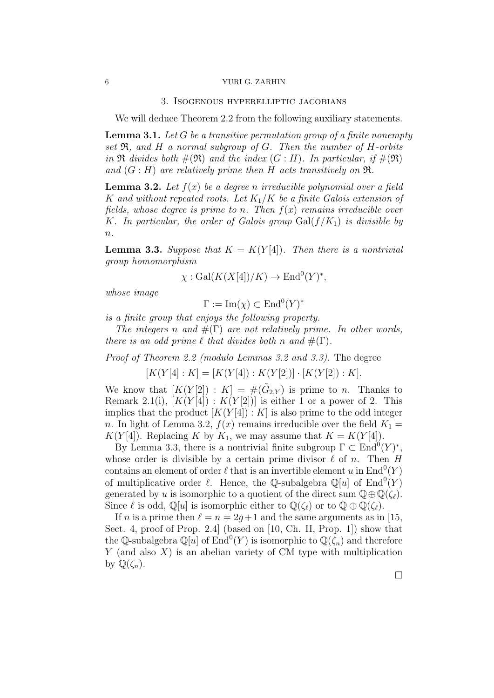#### 3. Isogenous hyperelliptic jacobians

We will deduce Theorem 2.2 from the following auxiliary statements.

**Lemma 3.1.** Let G be a transitive permutation group of a finite nonempty set  $\mathfrak{R}$ , and H a normal subgroup of G. Then the number of H-orbits in  $\Re$  divides both  $\#(\Re)$  and the index  $(G : H)$ . In particular, if  $\#(\Re)$ and  $(G : H)$  are relatively prime then H acts transitively on  $\mathfrak{R}$ .

**Lemma 3.2.** Let  $f(x)$  be a degree n irreducible polynomial over a field K and without repeated roots. Let  $K_1/K$  be a finite Galois extension of fields, whose degree is prime to n. Then  $f(x)$  remains irreducible over K. In particular, the order of Galois group  $Gal(f/K_1)$  is divisible by  $\overline{n}$ .

**Lemma 3.3.** Suppose that  $K = K(Y[4])$ . Then there is a nontrivial group homomorphism

$$
\chi: \text{Gal}(K(X[4])/K) \to \text{End}^0(Y)^*,
$$

whose image

 $\Gamma := \operatorname{Im}(\chi) \subset \operatorname{End}^0(Y)^*$ 

is a finite group that enjoys the following property.

The integers n and  $\#(\Gamma)$  are not relatively prime. In other words, there is an odd prime  $\ell$  that divides both n and  $\#(\Gamma)$ .

Proof of Theorem 2.2 (modulo Lemmas 3.2 and 3.3). The degree

 $[K(Y[4]:K] = [K(Y[4]):K(Y[2])] \cdot [K(Y[2]):K].$ 

We know that  $[K(Y[2]) : K] = \#(\tilde{G}_{2,Y})$  is prime to n. Thanks to Remark 2.1(i),  $[K(Y[4]) : K(Y[2])]$  is either 1 or a power of 2. This implies that the product  $[K(Y|4]) : K$  is also prime to the odd integer n. In light of Lemma 3.2,  $f(x)$  remains irreducible over the field  $K_1 =$  $K(Y[4])$ . Replacing K by  $K_1$ , we may assume that  $K = K(Y[4])$ .

By Lemma 3.3, there is a nontrivial finite subgroup  $\Gamma \subset \text{End}^0(Y)^*$ , whose order is divisible by a certain prime divisor  $\ell$  of n. Then H contains an element of order  $\ell$  that is an invertible element u in  $\text{End}^0(Y)$ of multiplicative order  $\ell$ . Hence, the Q-subalgebra  $\mathbb{Q}[u]$  of  $\text{End}^0(Y)$ generated by u is isomorphic to a quotient of the direct sum  $\mathbb{Q}\oplus\mathbb{Q}(\zeta_{\ell}).$ Since  $\ell$  is odd,  $\mathbb{Q}[u]$  is isomorphic either to  $\mathbb{Q}(\zeta_{\ell})$  or to  $\mathbb{Q} \oplus \mathbb{Q}(\zeta_{\ell})$ .

If *n* is a prime then  $\ell = n = 2q+1$  and the same arguments as in [15, Sect. 4, proof of Prop. 2.4] (based on [10, Ch. II, Prop. 1]) show that the Q-subalgebra  $\mathbb{Q}[u]$  of  $\text{End}^0(Y)$  is isomorphic to  $\mathbb{Q}(\zeta_n)$  and therefore  $Y$  (and also  $X$ ) is an abelian variety of CM type with multiplication by  $\mathbb{Q}(\zeta_n)$ .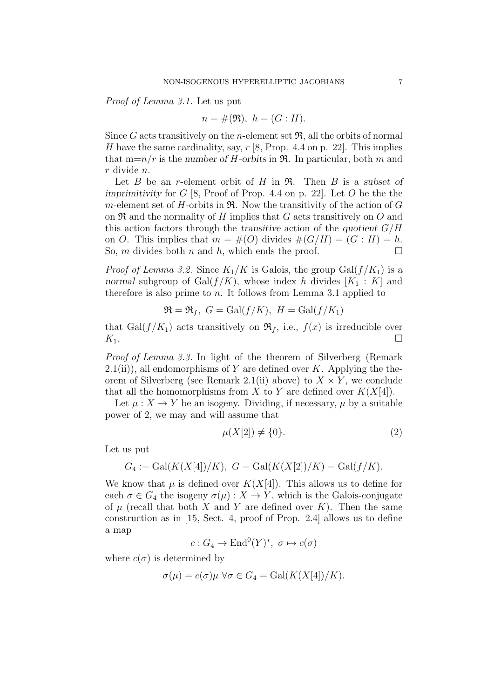Proof of Lemma 3.1. Let us put

$$
n = \#(\mathfrak{R}), \ h = (G : H).
$$

Since G acts transitively on the *n*-element set  $\mathfrak{R}$ , all the orbits of normal H have the same cardinality, say,  $r$  [8, Prop. 4.4 on p. 22]. This implies that  $m=n/r$  is the number of *H*-orbits in  $\Re$ . In particular, both *m* and r divide n.

Let  $B$  be an r-element orbit of  $H$  in  $\mathfrak{R}$ . Then  $B$  is a subset of imprimitivity for  $G$  [8, Proof of Prop. 4.4 on p. 22]. Let  $O$  be the the m-element set of H-orbits in  $\mathfrak{R}$ . Now the transitivity of the action of G on  $\Re$  and the normality of H implies that G acts transitively on O and this action factors through the transitive action of the quotient  $G/H$ on O. This implies that  $m = \#(O)$  divides  $\#(G/H) = (G : H) = h$ . So, m divides both n and h, which ends the proof.  $\Box$ 

*Proof of Lemma 3.2.* Since  $K_1/K$  is Galois, the group Gal $(f/K_1)$  is a normal subgroup of Gal $(f/K)$ , whose index h divides  $[K_1 : K]$  and therefore is also prime to n. It follows from Lemma 3.1 applied to

$$
\mathfrak{R} = \mathfrak{R}_f, \ G = \text{Gal}(f/K), \ H = \text{Gal}(f/K_1)
$$

that Gal $(f/K_1)$  acts transitively on  $\mathfrak{R}_f$ , i.e.,  $f(x)$  is irreducible over  $K_1$ .

Proof of Lemma 3.3. In light of the theorem of Silverberg (Remark  $2.1(ii)$ , all endomorphisms of Y are defined over K. Applying the theorem of Silverberg (see Remark 2.1(ii) above) to  $X \times Y$ , we conclude that all the homomorphisms from X to Y are defined over  $K(X[4])$ .

Let  $\mu: X \to Y$  be an isogeny. Dividing, if necessary,  $\mu$  by a suitable power of 2, we may and will assume that

$$
\mu(X[2]) \neq \{0\}.\tag{2}
$$

Let us put

$$
G_4 := \text{Gal}(K(X[4])/K), G = \text{Gal}(K(X[2])/K) = \text{Gal}(f/K)).
$$

We know that  $\mu$  is defined over  $K(X[4])$ . This allows us to define for each  $\sigma \in G_4$  the isogeny  $\sigma(\mu): X \to Y$ , which is the Galois-conjugate of  $\mu$  (recall that both X and Y are defined over K). Then the same construction as in [15, Sect. 4, proof of Prop. 2.4] allows us to define a map

$$
c: G_4 \to \text{End}^0(Y)^*, \ \sigma \mapsto c(\sigma)
$$

where  $c(\sigma)$  is determined by

$$
\sigma(\mu) = c(\sigma)\mu \,\forall \sigma \in G_4 = \text{Gal}(K(X[4])/K).
$$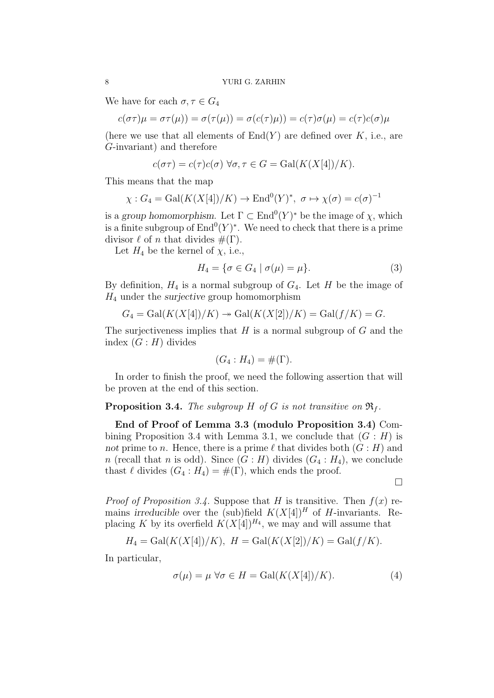We have for each  $\sigma, \tau \in G_4$ 

$$
c(\sigma\tau)\mu = \sigma\tau(\mu)) = \sigma(\tau(\mu)) = \sigma(c(\tau)\mu)) = c(\tau)\sigma(\mu) = c(\tau)c(\sigma)\mu
$$

(here we use that all elements of  $End(Y)$  are defined over K, i.e., are G-invariant) and therefore

$$
c(\sigma \tau) = c(\tau)c(\sigma) \,\forall \sigma, \tau \in G = \text{Gal}(K(X[4])/K).
$$

This means that the map

$$
\chi: G_4 = \text{Gal}(K(X[4])/K) \to \text{End}^0(Y)^*, \ \sigma \mapsto \chi(\sigma) = c(\sigma)^{-1}
$$

is a group homomorphism. Let  $\Gamma \subset \text{End}^0(Y)^*$  be the image of  $\chi$ , which is a finite subgroup of  $\text{End}^0(Y)^*$ . We need to check that there is a prime divisor  $\ell$  of n that divides  $\#(\Gamma)$ .

Let  $H_4$  be the kernel of  $\chi$ , i.e.,

$$
H_4 = \{ \sigma \in G_4 \mid \sigma(\mu) = \mu \}. \tag{3}
$$

By definition,  $H_4$  is a normal subgroup of  $G_4$ . Let H be the image of  $H_4$  under the surjective group homomorphism

$$
G_4 = \text{Gal}(K(X[4])/K) \rightarrow \text{Gal}(K(X[2])/K) = \text{Gal}(f/K) = G.
$$

The surjectiveness implies that  $H$  is a normal subgroup of  $G$  and the index  $(G : H)$  divides

$$
(G_4: H_4) = \#(\Gamma).
$$

In order to finish the proof, we need the following assertion that will be proven at the end of this section.

#### **Proposition 3.4.** The subgroup H of G is not transitive on  $\mathfrak{R}_f$ .

End of Proof of Lemma 3.3 (modulo Proposition 3.4) Combining Proposition 3.4 with Lemma 3.1, we conclude that  $(G : H)$  is not prime to n. Hence, there is a prime  $\ell$  that divides both  $(G : H)$  and n (recall that n is odd). Since  $(G : H)$  divides  $(G_4 : H_4)$ , we conclude thast  $\ell$  divides  $(G_4 : H_4) = \#(\Gamma)$ , which ends the proof.

□

*Proof of Proposition 3.4.* Suppose that H is transitive. Then  $f(x)$  remains irreducible over the (sub)field  $K(X[4])^H$  of H-invariants. Replacing K by its overfield  $K(X[4])^{H_4}$ , we may and will assume that

$$
H_4 = \text{Gal}(K(X[4])/K), H = \text{Gal}(K(X[2])/K) = \text{Gal}(f/K)).
$$

In particular,

$$
\sigma(\mu) = \mu \,\forall \sigma \in H = \text{Gal}(K(X[4])/K). \tag{4}
$$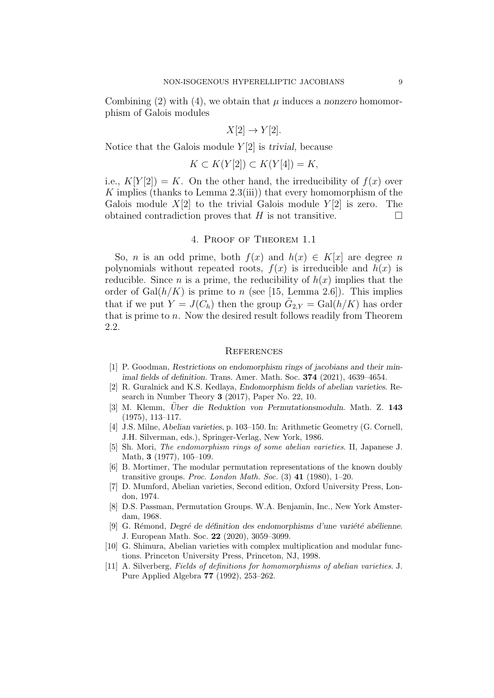Combining (2) with (4), we obtain that  $\mu$  induces a nonzero homomorphism of Galois modules

$$
X[2] \to Y[2].
$$

Notice that the Galois module  $Y[2]$  is trivial, because

$$
K \subset K(Y[2]) \subset K(Y[4]) = K,
$$

i.e.,  $K[Y[2]) = K$ . On the other hand, the irreducibility of  $f(x)$  over K implies (thanks to Lemma 2.3(iii)) that every homomorphism of the Galois module  $X[2]$  to the trivial Galois module  $Y[2]$  is zero. The obtained contradiction proves that H is not transitive.  $\Box$ 

#### 4. Proof of Theorem 1.1

So, *n* is an odd prime, both  $f(x)$  and  $h(x) \in K[x]$  are degree *n* polynomials without repeated roots,  $f(x)$  is irreducible and  $h(x)$  is reducible. Since *n* is a prime, the reducibility of  $h(x)$  implies that the order of  $Gal(h/K)$  is prime to n (see [15, Lemma 2.6]). This implies that if we put  $Y = J(C_h)$  then the group  $\tilde{G}_{2,Y} = \text{Gal}(h/K)$  has order that is prime to  $n$ . Now the desired result follows readily from Theorem 2.2.

#### **REFERENCES**

- [1] P. Goodman, Restrictions on endomorphism rings of jacobians and their minimal fields of definition. Trans. Amer. Math. Soc. 374 (2021), 4639–4654.
- [2] R. Guralnick and K.S. Kedlaya, Endomorphism fields of abelian varieties. Research in Number Theory 3 (2017), Paper No. 22, 10.
- [3] M. Klemm, Uber die Reduktion von Permutationsmoduln. Math. Z. 143 (1975), 113–117.
- [4] J.S. Milne, Abelian varieties, p. 103–150. In: Arithmetic Geometry (G. Cornell, J.H. Silverman, eds.), Springer-Verlag, New York, 1986.
- [5] Sh. Mori, The endomorphism rings of some abelian varieties. II, Japanese J. Math, 3 (1977), 105–109.
- [6] B. Mortimer, The modular permutation representations of the known doubly transitive groups. Proc. London Math. Soc.  $(3)$  41  $(1980)$ , 1–20.
- [7] D. Mumford, Abelian varieties, Second edition, Oxford University Press, London, 1974.
- [8] D.S. Passman, Permutation Groups. W.A. Benjamin, Inc., New York Amsterdam, 1968.
- [9] G. Rémond, Degré de définition des endomorphisms d'une variété abélienne. J. European Math. Soc. 22 (2020), 3059–3099.
- [10] G. Shimura, Abelian varieties with complex multiplication and modular functions. Princeton University Press, Princeton, NJ, 1998.
- [11] A. Silverberg, Fields of definitions for homomorphisms of abelian varieties. J. Pure Applied Algebra 77 (1992), 253–262.